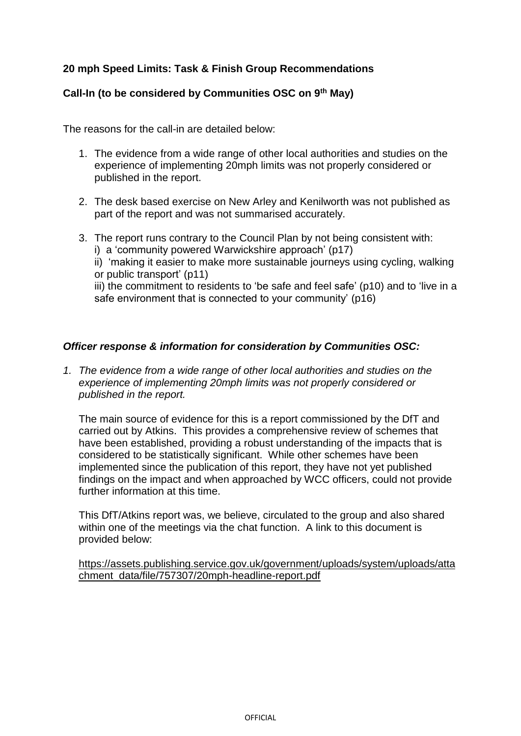## **20 mph Speed Limits: Task & Finish Group Recommendations**

## **Call-In (to be considered by Communities OSC on 9th May)**

The reasons for the call-in are detailed below:

- 1. The evidence from a wide range of other local authorities and studies on the experience of implementing 20mph limits was not properly considered or published in the report.
- 2. The desk based exercise on New Arley and Kenilworth was not published as part of the report and was not summarised accurately.
- 3. The report runs contrary to the Council Plan by not being consistent with:
	- i) a 'community powered Warwickshire approach' (p17)

ii) 'making it easier to make more sustainable journeys using cycling, walking or public transport' (p11)

iii) the commitment to residents to 'be safe and feel safe' (p10) and to 'live in a safe environment that is connected to your community' (p16)

## *Officer response & information for consideration by Communities OSC:*

*1. The evidence from a wide range of other local authorities and studies on the experience of implementing 20mph limits was not properly considered or published in the report.*

The main source of evidence for this is a report commissioned by the DfT and carried out by Atkins. This provides a comprehensive review of schemes that have been established, providing a robust understanding of the impacts that is considered to be statistically significant. While other schemes have been implemented since the publication of this report, they have not yet published findings on the impact and when approached by WCC officers, could not provide further information at this time.

This DfT/Atkins report was, we believe, circulated to the group and also shared within one of the meetings via the chat function. A link to this document is provided below:

[https://assets.publishing.service.gov.uk/government/uploads/system/uploads/atta](https://assets.publishing.service.gov.uk/government/uploads/system/uploads/attachment_data/file/757307/20mph-headline-report.pdf) [chment\\_data/file/757307/20mph-headline-report.pdf](https://assets.publishing.service.gov.uk/government/uploads/system/uploads/attachment_data/file/757307/20mph-headline-report.pdf)